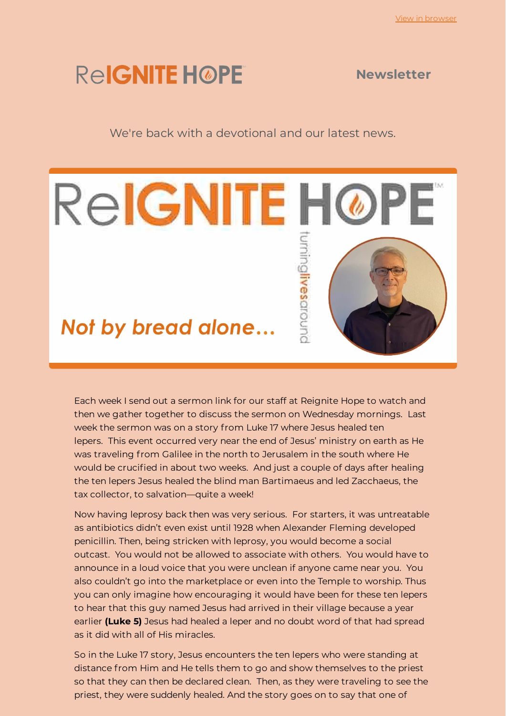# **ReIGNITE HØPE**

#### **Newsletter**

We're back with a devotional and our latest news.



Each week I send out a sermon link for our staff at Reignite Hope to watch and then we gather together to discuss the sermon on Wednesday mornings. Last week the sermon was on a story from Luke 17 where Jesus healed ten lepers. This event occurred very near the end of Jesus' ministry on earth as He was traveling from Galilee in the north to Jerusalem in the south where He would be crucified in about two weeks. And just a couple of days after healing the ten lepers Jesus healed the blind man Bartimaeus and led Zacchaeus, the tax collector, to salvation—quite a week!

Now having leprosy back then was very serious. For starters, it was untreatable as antibiotics didn't even exist until 1928 when Alexander Fleming developed penicillin. Then, being stricken with leprosy, you would become a social outcast. You would not be allowed to associate with others. You would have to announce in a loud voice that you were unclean if anyone came near you. You also couldn't go into the marketplace or even into the Temple to worship. Thus you can only imagine how encouraging it would have been for these ten lepers to hear that this guy named Jesus had arrived in their village because a year earlier **(Luke 5)** Jesus had healed a leper and no doubt word of that had spread as it did with all of His miracles.

So in the Luke 17 story, Jesus encounters the ten lepers who were standing at distance from Him and He tells them to go and show themselves to the priest so that they can then be declared clean. Then, as they were traveling to see the priest, they were suddenly healed. And the story goes on to say that one of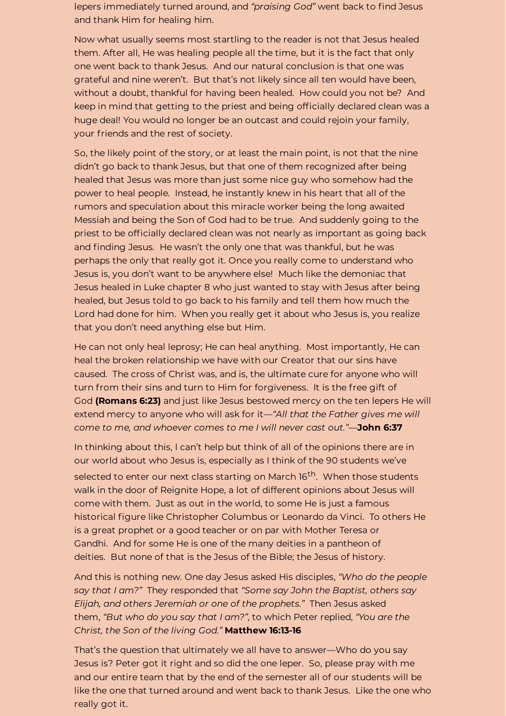lepers immediately turned around, and "praising God" went back to find Jesus and thank Him for healing him.

Now what usually seems most startling to the reader is not that Jesus healed them. After all, He was healing people all the time, but it is the fact that only one went back to thank Jesus. And our natural conclusion is that one was grateful and nine weren't. But that's not likely since all ten would have been, without a doubt, thankful for having been healed. How could you not be? And keep in mind that getting to the priest and being officially declared clean was a huge deal! You would no longer be an outcast and could rejoin your family, your friends and the rest of society.

So, the likely point of the story, or at least the main point, is not that the nine didn't go back to thank Jesus, but that one of them recognized after being healed that Jesus was more than just some nice guy who somehow had the power to heal people. Instead, he instantly knew in his heart that all of the rumors and speculation about this miracle worker being the long awaited Messiah and being the Son of God had to be true. And suddenly going to the priest to be officially declared clean was not nearly as important as going back and finding Jesus. He wasn't the only one that was thankful, but he was perhaps the only that really got it. Once you really come to understand who Jesus is, you don't want to be anywhere else! Much like the demoniac that Jesus healed in Luke chapter 8 who just wanted to stay with Jesus after being healed, but Jesus told to go back to his family and tell them how much the Lord had done for him. When you really get it about who Jesus is, you realize that you don't need anything else but Him.

He can not only heal leprosy; He can heal anything. Most importantly, He can heal the broken relationship we have with our Creator that our sins have caused. The cross of Christ was, and is, the ultimate cure for anyone who will turn from their sins and turn to Him for forgiveness. It is the free gift of God **(Romans 6:23)** and just like Jesus bestowed mercy on the ten lepers He will extend mercy to anyone who will ask for it—*"All that the Father gives me will come to me, and whoever comes to me I will never cast out."—***John 6:37**

In thinking about this, I can't help but think of all of the opinions there are in our world about who Jesus is, especially as I think of the 90 students we've selected to enter our next class starting on March 16<sup>th</sup>. When those students walk in the door of Reignite Hope, a lot of different opinions about Jesus will come with them. Just as out in the world, to some He is just a famous historical figure like Christopher Columbus or Leonardo da Vinci. To others He is a great prophet or a good teacher or on par with Mother Teresa or Gandhi. And for some He is one of the many deities in a pantheon of deities. But none of that is the Jesus of the Bible; the Jesus of history.

And this is nothing new. One day Jesus asked His disciples, *"Who do the people say that I am?"* They responded that *"Some say John the Baptist, others say Elijah, and others Jeremiah or one of the prophets."* Then Jesus asked them, *"But who do you say that I am?"*, to which Peter replied, *"You are the Christ, the Son of the living God."* **Matthew 16:13-16**

That's the question that ultimately we all have to answer—Who do you say Jesus is? Peter got it right and so did the one leper. So, please pray with me and our entire team that by the end of the semester all of our students will be like the one that turned around and went back to thank Jesus. Like the one who really got it.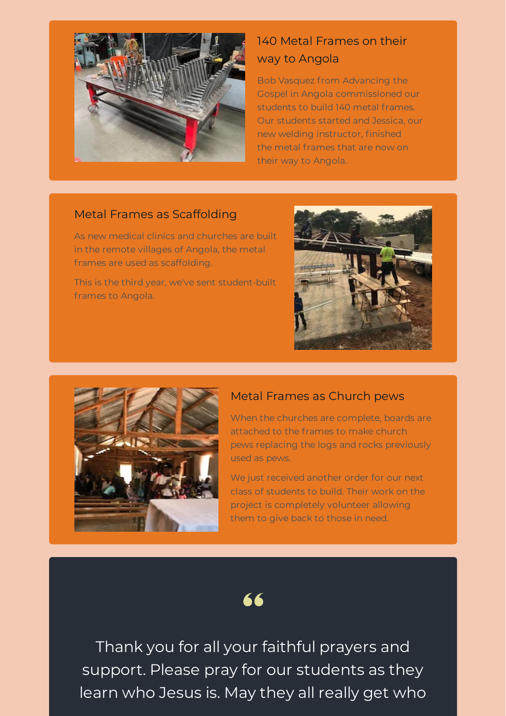

### 140 Metal Frames on their way to Angola

Bob Vasquez from Advancing the Gospel in Angola commissioned our students to build 140 metal frames. Our students started and Jessica, our new welding instructor, finished the metal frames that are now on their way to Angola.

#### Metal Frames as Scaffolding

As new medical clinics and churches are built in the remote villages of Angola, the metal frames are used as scaffolding.

This is the third year, we've sent student-built frames to Angola.





#### Metal Frames as Church pews

When the churches are complete, boards are attached to the frames to make church pews replacing the logs and rocks previously used as pews.

We just received another order for our next class of students to build. Their work on the project is completely volunteer allowing them to give back to those in need.



Thank you for all your faithful prayers and support. Please pray for our students as they learn who Jesus is. May they all really get who